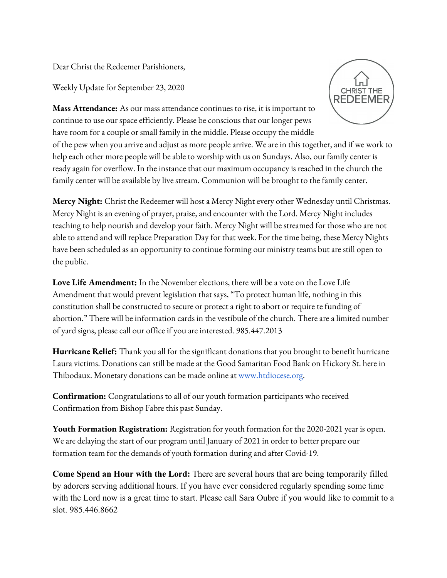Dear Christ the Redeemer Parishioners,

Weekly Update for September 23, 2020



**Mass Attendance:** As our mass attendance continues to rise, it is important to continue to use our space efficiently. Please be conscious that our longer pews have room for a couple or small family in the middle. Please occupy the middle

of the pew when you arrive and adjust as more people arrive. We are in this together, and if we work to help each other more people will be able to worship with us on Sundays. Also, our family center is ready again for overflow. In the instance that our maximum occupancy is reached in the church the family center will be available by live stream. Communion will be brought to the family center.

**Mercy Night:** Christ the Redeemer will host a Mercy Night every other Wednesday until Christmas. Mercy Night is an evening of prayer, praise, and encounter with the Lord. Mercy Night includes teaching to help nourish and develop your faith. Mercy Night will be streamed for those who are not able to attend and will replace Preparation Day for that week. For the time being, these Mercy Nights have been scheduled as an opportunity to continue forming our ministry teams but are still open to the public.

**Love Life Amendment:** In the November elections, there will be a vote on the Love Life Amendment that would prevent legislation that says, "To protect human life, nothing in this constitution shall be constructed to secure or protect a right to abort or require te funding of abortion." There will be information cards in the vestibule of the church. There are a limited number of yard signs, please call our office if you are interested. 985.447.2013

**Hurricane Relief:** Thank you all for the significant donations that you brought to benefit hurricane Laura victims. Donations can still be made at the Good Samaritan Food Bank on Hickory St. here in Thibodaux. Monetary donations can be made online at [www.htdiocese.org.](http://www.htdiocese.org/)

**Confirmation:** Congratulations to all of our youth formation participants who received Confirmation from Bishop Fabre this past Sunday.

**Youth Formation Registration:** Registration for youth formation for the 2020-2021 year is open. We are delaying the start of our program until January of 2021 in order to better prepare our formation team for the demands of youth formation during and after Covid-19.

**Come Spend an Hour with the Lord:** There are several hours that are being temporarily filled by adorers serving additional hours. If you have ever considered regularly spending some time with the Lord now is a great time to start. Please call Sara Oubre if you would like to commit to a slot. 985.446.8662